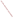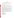#### **OVERVIEW SECTION**

# **AGENCY:** ENVIRONMENTAL PROTECTION AGENCY (EPA)

# **TITLE:** "MARKET-BASED APPROACHES TO REDUCING GREENHOUSE GAS EMISSIONS THROUGH ENERGY EFFICIENCY IN HOMES AND BUILDINGS"

**ACTION:** Request for Initial Proposals (RFIP) – Initial Announcement

**RFIP NO.:** OAR-CPPD-05-03

## **CATALOG OF FEDERAL DOMESTIC ASSISTANCE (CFDA) NO.:** 66.034

**DATES:** The closing date and time for receipt of Initial proposals is April 25, 2005, 4:00 p.m. EST. All applications, however transmitted, must be received in the Program Office by the closing date and time to receive consideration.

Final applications will be accepted, only, from those eligible entities whose Initial Proposal has been successfully evaluated and recommended for award. EPA will notify applicants whose Initial Proposal have been recommended for award not later than May 16, 2005. The closing date and time for receipt of Final Proposals is May 27, 2005, 4:00 p.m. EST.

**SUMMARY:** This notice announces the availability of funds and solicits proposals to advance national, regional, and local energy efficiency programming by utilizing market-based approaches to program design and delivery. Proposals submitted for consideration should: (1) identify unique constituencies and approaches or channels for working with stakeholders; (2) demonstrate an understanding of the technologies and market structure for delivery of the technologies, or best practices, to end users; (3) identify market barriers to greater adoption of energy efficient technologies, or best practices, (4) delineate strategies for overcoming barriers identified.

**FUNDING/AWARDS:** The total estimated funding for this competitive opportunity shall not exceed \$1,350,000.00. In FY 2005, total funding shall not exceed \$450,000.00. EPA anticipates award of 2-3 grants, ranging in annual value from \$50,000-\$80,000, as a result of this competitive opportunity. Additionally, award of one cooperative agreement, whose annual value shall not exceed \$200,000 is possible, subject to the availability of funds and quality of evaluated proposals.

### **CONTENTS BY SECTION**

- I. Funding Opportunity Description
- II. Award Information
- III. Eligibility Information
- IV. Application and Submission Information
- V. Application Review Information<br>VI. Award Administration Information
- Award Administration Information
- VII. Agency Contact
- VIII. Other Information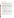### **Section I - Funding Opportunity Description.**

# **A. Background.**

The Climate Protection Partnerships Division (CPPD) is committed to reducing greenhouse gases through energy-efficiency and cost-effective partnerships with industries in all sectors of our economy where emissions reductions can be achieved. ENERGY STAR, one of CPPD's dynamic government/industry partnerships, offers businesses and consumers energy-efficient solutions, making it easy to save money while protecting the environment for future generations.

In 1992, the U.S. Environmental Protection Agency (EPA) introduced ENERGY STAR as a voluntary labeling program designed to identify and promote energy-efficient products to reduce greenhouse gas emissions. Computers and monitors were the first labeled products. Through 1995, EPA expanded the label to additional office equipment products and residential heating and cooling equipment. In 1996, EPA partnered with the US Department of Energy (DOE) for particular product categories. The ENERGY STAR label is now on major appliances, office equipment, lighting, consumer electronics, and more. EPA has also extended the label to cover new homes and commercial and industrial buildings. Through the partnerships with more than 7,000 private and public sector organizations, ENERGY STAR delivers the technical information and tools that organizations and consumers need to choose energyefficient solutions and best management practices.

The Climate Protection Partnerships Division seeks to further enhance delivery of energy efficient products to the residential and commercial sectors, as well as services and best practices to the commercial and industrial marketplace by funding proposals that advance improvement in national, regional, and local energy efficiency programming.

# **B. EPA Strategic Plan Linkage and Anticipated Outcomes/Outputs.**

- 1. *Linkage to EPA Strategic Plan.* This project supports progress towards EPA Strategic Plan Goal 1(Clean Air and Global Climate Change),Objective 1.5 (Reduce Greenhouse Gas Intensity). This project supports EPA efforts in fostering voluntary energy efficiency improvements with the goal of reducing carbon dioxide emissions.
- 2. *Outcomes.* Through this project, EPA hopes to reduce emissions of greenhouse gases by creating a lasting change in the market for energy efficient products, services, and/or best practices.
- 3. *Outputs.* The anticipated output for this project may include educational and outreach materials, conferences and training, and other programs, policies and activities that will result in increased use of strategic energy management practices and the increased purchase of energy efficient products as a means to reduce greenhouse gas emissions.

# **C. Scope-of-Work.**

The Climate Protection Partnerships Division seeks to fund proposals that advance national, regional, and local energy efficiency programming by utilizing market-based approaches to program design and delivery. CPPD seeks proposals that demonstrate potential to create lasting change in the market for energy efficient products, services, and best practices.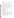Proposals may address one or more of the following concerns:

- Improving energy performance in the residential market through increased use of high-efficiency products
- Increasing supply/market share for high efficiency products through retail, e-tail, and other sales outlets
- Delivering improved energy performance to existing commercial buildings (e.g., offices, schools, hotels, hospitals, supermarkets, etc.) through technology or practice
- Promoting improved energy performance in the commercial new construction market

Proposals submitted for consideration should: (1) identify unique constituencies and approaches or channels for working with stakeholders; (2) demonstrate an understanding of the technologies and market structure for delivery of the technologies, or best practices, to end users; (3) identify market barriers to greater adoption of energy efficient technologies, or best practices, (4) delineate strategies for overcoming barriers identified.

Eligible entities are encouraged to submit multi-year applications. The final assistance agreement must be completed within an awarded period of performance from 24 to 36 months.

#### **D. Supplementary Information.**

The statutory authority for this action is Clean Air Act, Section 103(b)(3) which authorizes the award of grants for research, investigations, experiments, demonstrations, surveys, and studies related to the causes, effect, extent, prevention and control of air pollution.

#### **Section II - Award Information.**

#### **A. What is the amount of funding available?**

The total estimated funding for this competitive opportunity shall not exceed \$1,350,000.00. In FY 2005, total funding shall not exceed \$450,000.00.

#### **B. How many agreements will EPA award in this competition?**

EPA anticipates award of 2-3 grants, ranging in annual value from \$50,000-\$80,000, as a result of this competitive opportunity. Additionally, award of one cooperative agreement, whose annual value shall not exceed \$200,000 is possible, subject to the availability of funds and quality of evaluated proposals.

Cooperative agreements permit substantial involvement between the EPA Project Officer and the selected applicants in the performance of the work supported. Although EPA will negotiate precise terms and conditions relating to substantial involvement as part of the award process, the anticipated substantial Federal involvement for this project will be:

- 1. close monitoring of the successful applicant's performance;
- 2. collaboration during the performance of the scope of work;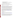- 3. approving substantive terms of proposed contracts;
- 4. approving qualifications of key personnel (EPA will not select employees or contractors employed by the award recipient);
- 5. review and comment on reports prepared under the cooperative agreement (the final decision on the content of reports rests with the recipient);
- 6. approving quality assurance plans for collecting and assessing data, if warranted.

#### **C. What is the project period for awards resulting from this solicitation?**

The estimated project period for awards resulting from this solicitation is October 1, 2005 through September 30, 2008. All projects must be completed within the negotiated project performance period of two to three years.

### **D. Can funding be used to acquire services or fund partnerships?**

Funding may be used to acquire services or fund partnerships, provided the recipient follows procurement and subaward or subgrant procedures contained in 40 [CFR](http://www.gpoaccess.gov/cfr/retrieve.html) Parts 30 or 31, as applicable. Successful applicants must compete contracts for services and products and conduct cost and price analyses to the extent required by these regulations. The regulations also contain limitations on consultant compensation. Applicants are not required to identify contractors or consultants in their proposal. Moreover, the fact that a successful applicant has named a specific contractor or consultant in the proposal EPA approves does not relieve it of its obligations to comply with competitive procurement requirements.

Subgrants or subawards may be used to fund partnerships with non profit organizations and governmental entities. Successful applicants cannot use subgrants or subawards to avoid requirements in EPA grant regulations for competitive procurement by using these instruments to acquire commercial services or products to carry out its cooperative agreement. For profit organizations are not eligible subgrant recipients under this announcement. The nature of the transaction between the recipient and the subgrantee must be consistent with the standards for distinguishing between vendor transactions and subrecipient assistance under Subpart B Section .210 of [OMB Circular A-133,](http://www.whitehouse.gov/omb/circulars/a133/a133.html) and the definitions of "subaward" at 40 CFR 30.2(ff) or "subgrant" at 40 CFR 31.3, as applicable. EPA will not be a party to these transactions.

#### **Section III - Eligibility Information.**

### **A. Eligible Entities.**

Proposals will be accepted from states, territories, Indian Tribes, and possessions of the U.S., including the District of Columbia, international organizations, public and private universities and colleges, hospitals, laboratories, other public or private nonprofit institutions, as defined by [OMB Circular A-110](http://www.whitehouse.gov/omb/circulars/a110/a110.html) and [OMB Circular A-122.](http://www.whitehouse.gov/omb/circulars/a122/a122.html)

Non-profit organization, as defined by OMB Circular A-122, means any corporation, trust, association, cooperative, or other organization which: (1) is operated primarily for scientific, educational, service, charitable, or similar purposes in the public interest; (2) is not organized primarily for profit; and (3) uses its net proceeds to maintain, improve, and/or expand its operations. For this purpose, the term "non-profit organization" excludes (i) colleges and universities; (ii) hospitals; (iii) state, local, and federally-recognized Indian tribal governments; and (iv) those non-profit organizations which are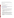excluded from coverage of this Circular in accordance with paragraph 5 of the Circular.

Non-profit organizations described in Section 501(c)(4) of the Internal Revenue Code that engage in lobbying activities as defined in Section 3 of the Lobbying Disclosure Act of 1995 are not eligible to apply.

# **B. Cost-Sharing or Matching.**

Cost sharing or matching is not required as a condition of eligibility, or otherwise, for proposals selected for award.

# **Section IV - Application and Submission Information.**

# **A. How to Obtain Application Package.**

Applicants may download individual grant application forms, or electronically request a paper application package and an accompanying computer CD of information related to applicants/grant recipients roles and responsibilities from EPA's Grants and Debarment website by visiting: [http://www.epa.gov/ogd/grants/how\\_to\\_apply.htm.](http://www.epa.gov/ogd/grants/how_to_apply.htm)

# **B. Content and Form of Application Submission.**

- 1. **Initial Proposals.** Applicants must submit one original signature Initial Proposal and two complete copies. Initial Proposals may not exceed 20 pages in length and must conform to the following outline:
	- a. Overview of the organization, its mission, and related experience (2 pages maximum);
	- b. Description of key project activities and approaches. The Project Description must explicitly describe the applicant's proposed project and specifically address each of the evaluation criteria disclosed in *Section V(A), Evaluation Criteria*. (10 pages maximum);
	- c. Brief biographical sketches of key technical experts who will be involved in the project (3 pages maximum);
	- d. Detailed budget narrative (3 pages maximum);
	- e. SF 424a (2 pages).

Applicants are strongly advised to avoid submission of non-essential materials unrelated to the proposal's requirements. Upon receipt, proposals will be reviewed for content. Proposals that do not conform to the specific outline and content detailed above may not be considered for award. **Incomplete proposals will not be considered for award.** EPA will not consider or evaluate pages in excess of the maximum page limitation. The maximum page limitation shall include any pieces that may be submitted by a third party (e.g., references or letters confirming commitments).

2. **Final Applications.** *(FINAL APPLICATIONS WILL BE ACCEPTED, ONLY, FROM THOSE ELIGIBLE ENTITIES WHOSE INITIAL PROPOSAL HAS BEEN SUCCESSFULLY EVALUATED AND RECOMMENDED FOR AWARD. DO NOT INCLUDE THESE DOCUMENTS WITH THE INITIAL PROPOSAL.)*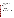Applicants whose Initial Proposals have been evaluated and recommended for award must submit one original signature document and two copies of the completed federal grant application package and narrative workplan. All application materials must be completed in English.

- a. A complete **FINAL APPLICATION** must contain the following, in the sequential order shown:
	- 1. SF-424 Application for Federal Assistance, with original signature.
	- 2. Narrative Statement, in the format detailed below.
	- 3. Other supporting documentation.
	- 4. SF-424 A, Budget by categories and indirect cost rate.
	- 5. SF-424 B, Assurances for non-construction programs.
	- 6. Debarment and Suspension Certification.
	- 7. Certification Regarding Lobbying and SF LLL, if applicable.
	- 8. EPA Form 4700-4 Preaward Compliance review report.
	- 9. Quality Assurance Narrative Statement, if applicable.
	- 10. Copy of Negotiated Indirect Cost Rate Agreement, if applicable.
	- 11. Biographical Sketch.
	- 12. E-mail address or self-addressed envelope (to receive notification of receipt of application).
- b. The narrative statement should conform to the following outline:
	- 1. Project Title.
	- 2. Applicant Information. Include applicant (organization) name, address, contact person, phone number, fax and e-mail address.
	- 3. Funding Requested. Specify the amount you are requesting from EPA.
	- 4. Project period. Provide beginning and ending dates (for planning purposes, applicants should assume a project start date of October 1, 2005).
	- 5. Narrative Workplan. Summarize the project and specifically explain how the project meets the evaluation criteria detailed in *Section V(A)* of this solicitation.
	- 6. Qualifications. Summarize your technical experience and knowledge. Demonstrate how your qualifications meet the evaluation criteria detailed in *Section V(A)* of this solicitation.
	- 7. Total Project Cost. Specify total cost of the project. Identify funding from other sources including any in-kind resources.
	- 8. Detailed Itemized Budget. Clearly explain how EPA funds will be used. Provide a budget for the following categories:
		- Personnel
		- Fringe Benefits
		- Contractual Costs
		- Travel
		- Equipment
		- Supplies
		- Other
		- Total Direct Costs
		- Total Indirect Costs: must include documentation of accepted indirect rate
		- Total Cost
	- 9. Reporting Requirements. Discuss quarterly progress (schedule to be established by EPA). Quarterly progress reports should include: a summary of performance progress-to-date, problems encountered, successes achieved, and lessons learned.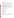#### **C. Submission Dates and Times.**

- 1. The closing date and time for receipt of Initial proposals is April 25, 2005, 4:00 p.m. EST. All applications, however transmitted, must be received in the Program Office by the closing date and time to receive consideration. Proposals received after the closing date and time will not be considered for funding. Electronic or facsimile transmission of Initial Proposals/Final Applications will not be accepted.
- 2. The closing date and time for submission of completed Final Application packages is May 27, 2005, 4:00 p.m. EST. *(Final applications will be accepted, only, from those eligible entities whose Initial Proposal has been successfully evaluated and selected for award.)*
- 3. **Confidential Business Information.** In accordance with 40 CFR 2.203, applicants may claim all or a portion of their application/proposal as confidential business information. EPA will evaluate confidentiality claims in accordance with 40 CFR Part 2. Applicants must clearly mark applications/proposals or portions of applications/proposals they claim as confidential. If no claim of confidentiality is made, EPA is not required to make the inquiry to the applicant otherwise required by 40 CFR  $2.204(c)(2)$  prior to disclosure.
- 4. Because of the unique situation involving U.S. mail screening in Washington, DC, EPA highly recommends that applicants use an express mail option to submit their proposals. Initial Proposals and Final Applications shall be addressed to:

Express Delivery Address (FedEx, UPS, DHL, etc) U.S. EPA Attn: Kayla Roach OAR/OAP/Climate Protection Partnerships Division 1310 L Street, NW, 9<sup>th</sup> Floor Washington, DC 20005

Regular Mail Delivery Address (U.S. Postal Service) U.S. EPA Attn: Kayla Roach (Mail Code 6202J) OAR/OAP/CPPD 1200 Pennsylvania Avenue, NW Washington, DC 20460

### **Section 5 - Application Review Information.**

### **A. Evaluation Criteria.**

Each eligible proposal, based on Section III, Eligibility Information, will be evaluated according to the criteria set forth below. Proposals that are best able to directly and explicitly address the evaluation criteria below will have a greater likelihood of being selected for award. Each proposal will be rated under a points system, with a total of 100 points possible.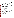| <b>Criterion</b>                                                                                                                                                                                                                                                                                                                                                                                                                                                                                                                                                                                                                                                                                                                                                                | <b>Maximum</b><br>Points per<br><b>Criterion</b> |
|---------------------------------------------------------------------------------------------------------------------------------------------------------------------------------------------------------------------------------------------------------------------------------------------------------------------------------------------------------------------------------------------------------------------------------------------------------------------------------------------------------------------------------------------------------------------------------------------------------------------------------------------------------------------------------------------------------------------------------------------------------------------------------|--------------------------------------------------|
| <b>Project Description.</b> Extent to which the proposal describes the importance of the<br>project and its potential to deliver energy efficient products or services that lead to the<br>public benefit of reducing air pollution by reducing energy consumption. The<br>proposal effectively describes:                                                                                                                                                                                                                                                                                                                                                                                                                                                                      |                                                  |
| • the size and importance of the market that will be affected;<br>• the estimated impact of the initiative(s) on reducing energy consumption/carbon<br>emissions and/or enhancing the design of national, state, and local energy efficiency<br>programs;<br>• the anticipated outcomes of the project;<br>• the project's contributions to market transformation in terms of engaging relevant<br>and unique constituencies and stakeholders, identifying market barriers, developing<br>strategies to overcome market barriers, and implementing key activities with<br>discrete tasks and time lines.                                                                                                                                                                        | 30                                               |
| CPPD will review proposals for their potential to create lasting change in the market<br>for energy efficient products, services, and best practices. Quantify targets and goals<br>where possible (e.g. market size, potential energy and/or carbon reduction, etc.).                                                                                                                                                                                                                                                                                                                                                                                                                                                                                                          |                                                  |
| <b>Experience of key personnel.</b> Extent to which the experience of key personnel,<br>described in detail, is related to the project(s) proposed and demonstrates a level of<br>expertise or proficiency. CPPD will review biographical sketches to determine if<br>staff experience is commensurate with activities proposed. Applicants must designate<br>a primary contact, who will be responsible for the implementation of the grant and<br>serve as a liaison with CPPD staff.                                                                                                                                                                                                                                                                                         | 25                                               |
| <b>Resources:</b> Extent to which the applicant's proposed budget is clearly stated,<br>detailed, and appropriate to achieve the project's objectives.                                                                                                                                                                                                                                                                                                                                                                                                                                                                                                                                                                                                                          | 20                                               |
| Performance Measurement. Applicants's proposal includes a method for tracking<br>the effectiveness of efforts to deliver increased public awareness of the benefits of<br>reducing energy consumption, thereby creating a lasting change in the market for<br>energy efficient products, services, and/or best practices. Tracking may focus on the<br>effectiveness of (1) educational and outreach materials distributed (2), conferences<br>and training, as measured by the number of participants involved; and/or quantify $(3)$<br>new markets or stakeholders reached; or (4) other activities that will result in reduced<br>greenhouse gas emissions through increased use of strategic energy management<br>practices and the purchase of energy efficient products. | 15                                               |
| <b>Past experience.</b> Proposal demonstrates the applicant's organizational experience in<br>promoting products and processes that improve energy efficiency to key stakeholders.                                                                                                                                                                                                                                                                                                                                                                                                                                                                                                                                                                                              | 10                                               |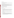## **B. Other Factors.**

EPA reserves the right to make award decisions based on factors that help ensure geographic equity and demonstration of a variety of technical approaches.

# **C. Review and Selection Process.**

Each Initial proposal will be evaluated by a team chosen to address the range of activities associated with reducing greenhouse gases through energy efficiency and cost effective partnerships with private industry to achieve emissions reduction. The Evaluation Team will base its evaluation solely on the selection criteria disclosed in this notice *(see Section V(A), Evaluation Criteria)*.

Completed evaluations will be referred to a Selection Committee that is responsible for further consideration and final selection. The highest numerically-ranked proposal(s) (subject to the quality of proposals, availability of funds, and consideration of *Section V(B), Other Factors*) will be recommended for award and required to submit Final Applications.

# **Section VI - Award Administration Information.**

# **A. Award Notices.**

Following evaluation of Initial Proposals, all applicants will be notified regarding their application's status.

# 1. **Initial Proposal Notifications.**

- a. EPA anticipates notification to *successful* applicant(s) will be made, via telephone, electronic or postal mail by May 16, 2005. The notification will advise the applicant that its Initial Proposal has been successfully evaluated and recommended for award. The notice shall require submission of a Final Application. *(Refer to Section IV(B), Content and form of Application Submission.)*
- b. EPA anticipates notification to *unsuccessful* applicant(s) will be made via electronic or postal mail by May 16, 2005. In either event, the notification will be sent to the original signer of the application.

# 2. **Final Proposal Notifications.**

a. EPA anticipates notification to *successful* applicant(s) regarding the status of Final Applications will be made, via telephone, electronic or postal mail by September 30, 2004. This notification, which advises that the applicant's proposal has been recommended for award, is not an authorization to begin performance. The award notice signed by the EPA grants officer is the authorizing document and will be provided through postal mail. At a minimum, this process can take up to 90 days from the date of recommendation.